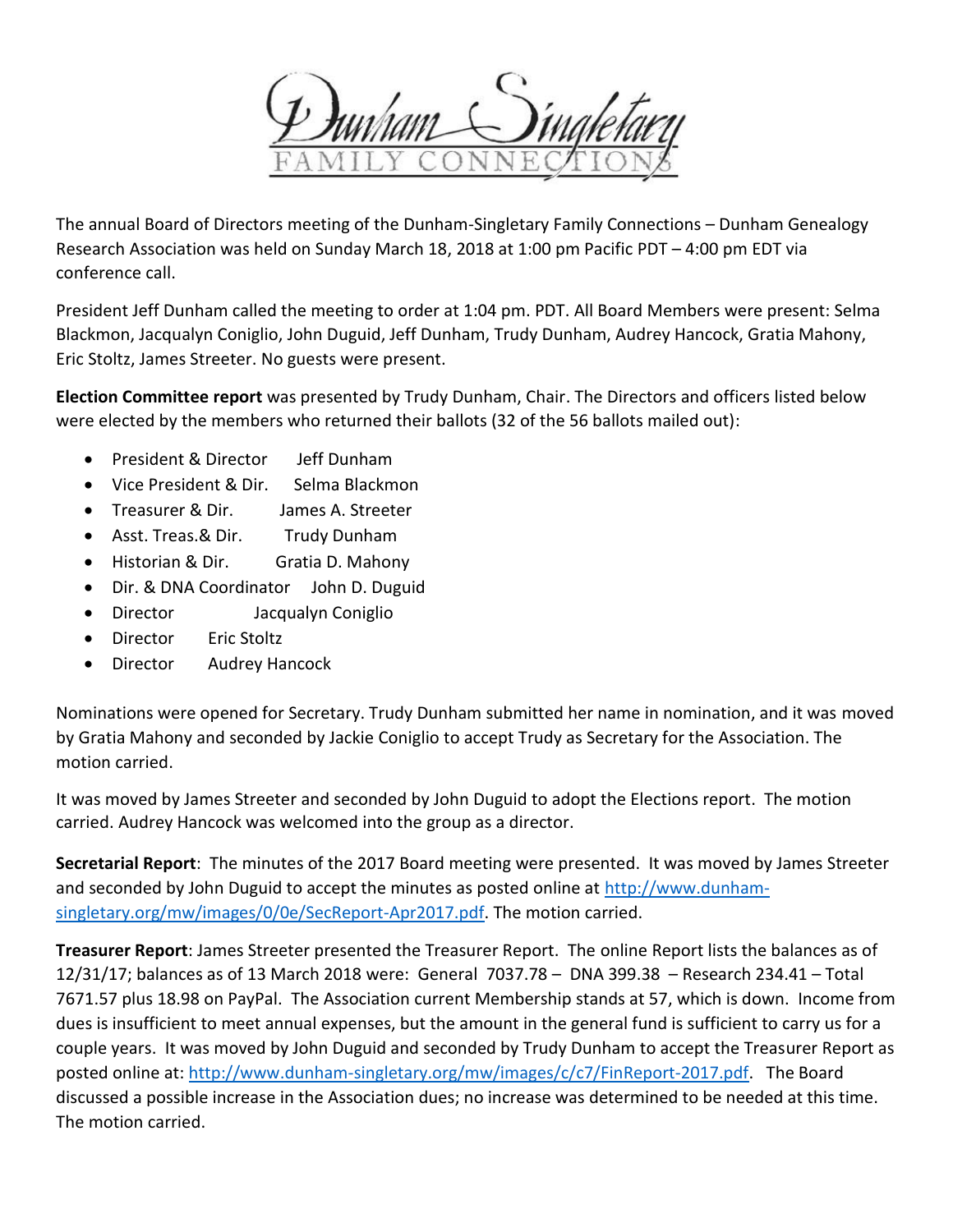The annual Board of Directors meeting of the Dunham-Singletary Family Connections – Dunham Genealogy Research Association was held on Sunday March 18, 2018 at 1:00 pm Pacific PDT – 4:00 pm EDT via conference call.

President Jeff Dunham called the meeting to order at 1:04 pm. PDT. All Board Members were present: Selma Blackmon, Jacqualyn Coniglio, John Duguid, Jeff Dunham, Trudy Dunham, Audrey Hancock, Gratia Mahony, Eric Stoltz, James Streeter. No guests were present.

**Election Committee report** was presented by Trudy Dunham, Chair. The Directors and officers listed below were elected by the members who returned their ballots (32 of the 56 ballots mailed out):

- President & Director Jeff Dunham
- Vice President & Dir. Selma Blackmon
- Treasurer & Dir. James A. Streeter
- Asst. Treas.& Dir. Trudy Dunham
- Historian & Dir. Gratia D. Mahony
- Dir. & DNA Coordinator John D. Duguid
- Director Jacqualyn Coniglio
- Director Eric Stoltz
- Director Audrey Hancock

Nominations were opened for Secretary. Trudy Dunham submitted her name in nomination, and it was moved by Gratia Mahony and seconded by Jackie Coniglio to accept Trudy as Secretary for the Association. The motion carried.

It was moved by James Streeter and seconded by John Duguid to adopt the Elections report. The motion carried. Audrey Hancock was welcomed into the group as a director.

**Secretarial Report**: The minutes of the 2017 Board meeting were presented. It was moved by James Streeter and seconded by John Duguid to accept the minutes as posted online at [http://www.dunham](http://www.dunham-singletary.org/mw/images/0/0e/SecReport-Apr2017.pdf)[singletary.org/mw/images/0/0e/SecReport-Apr2017.pdf.](http://www.dunham-singletary.org/mw/images/0/0e/SecReport-Apr2017.pdf) The motion carried.

**Treasurer Report**: James Streeter presented the Treasurer Report. The online Report lists the balances as of 12/31/17; balances as of 13 March 2018 were: General 7037.78 – DNA 399.38 – Research 234.41 – Total 7671.57 plus 18.98 on PayPal. The Association current Membership stands at 57, which is down. Income from dues is insufficient to meet annual expenses, but the amount in the general fund is sufficient to carry us for a couple years. It was moved by John Duguid and seconded by Trudy Dunham to accept the Treasurer Report as posted online at: [http://www.dunham-singletary.org/mw/images/c/c7/FinReport-2017.pdf.](http://www.dunham-singletary.org/mw/images/c/c7/FinReport-2017.pdf) The Board discussed a possible increase in the Association dues; no increase was determined to be needed at this time. The motion carried.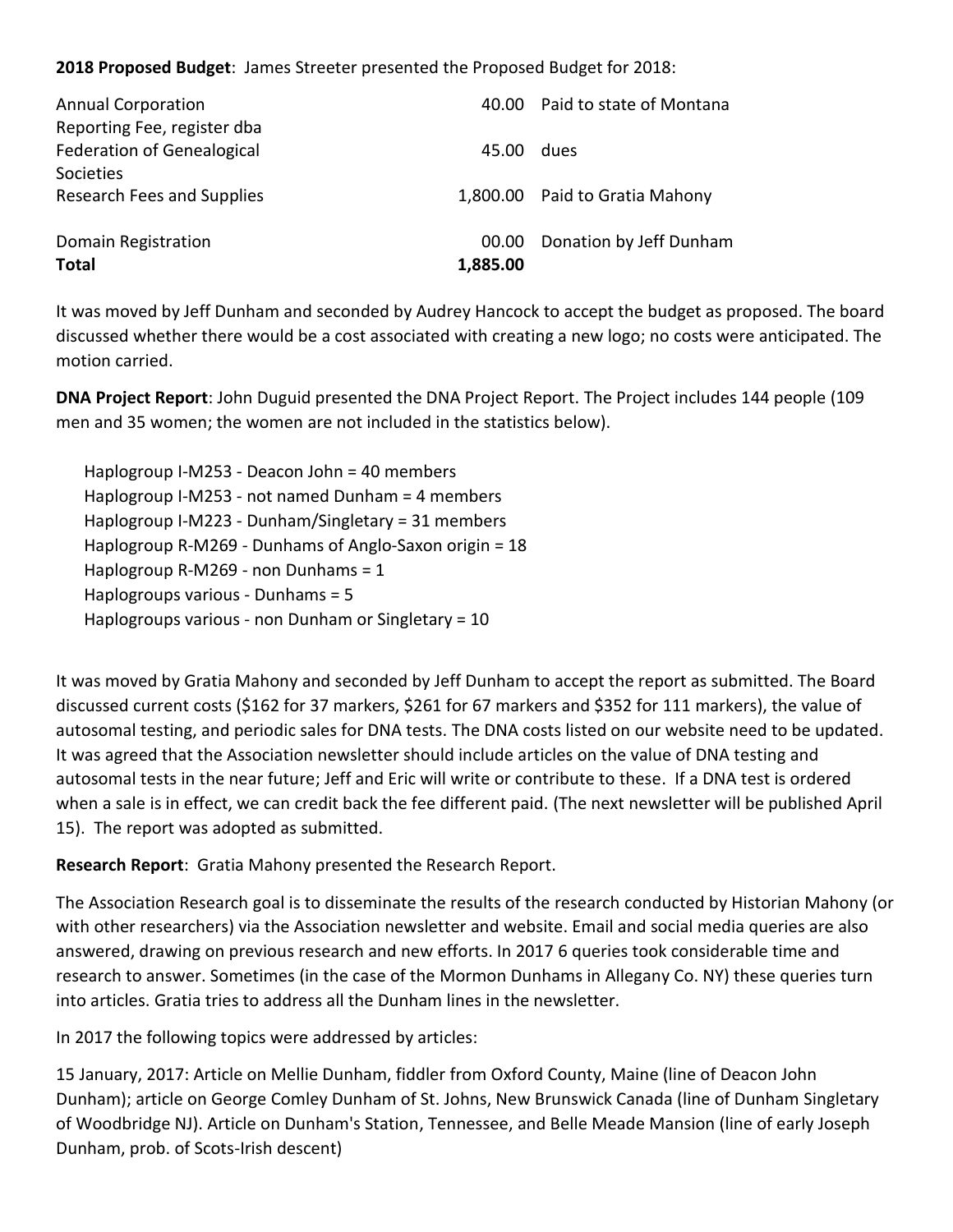**2018 Proposed Budget**: James Streeter presented the Proposed Budget for 2018:

| Domain Registration<br><b>Total</b>                      | 00.00<br>1,885.00 | Donation by Jeff Dunham        |
|----------------------------------------------------------|-------------------|--------------------------------|
| Research Fees and Supplies                               |                   | 1,800.00 Paid to Gratia Mahony |
| <b>Federation of Genealogical</b><br>Societies           | 45.00             | dues                           |
| <b>Annual Corporation</b><br>Reporting Fee, register dba |                   | 40.00 Paid to state of Montana |

It was moved by Jeff Dunham and seconded by Audrey Hancock to accept the budget as proposed. The board discussed whether there would be a cost associated with creating a new logo; no costs were anticipated. The motion carried.

**DNA Project Report**: John Duguid presented the DNA Project Report. The Project includes 144 people (109 men and 35 women; the women are not included in the statistics below).

Haplogroup I-M253 - Deacon John = 40 members Haplogroup I-M253 - not named Dunham = 4 members Haplogroup I-M223 - Dunham/Singletary = 31 members Haplogroup R-M269 - Dunhams of Anglo-Saxon origin = 18 Haplogroup R-M269 - non Dunhams = 1 Haplogroups various - Dunhams = 5 Haplogroups various - non Dunham or Singletary = 10

It was moved by Gratia Mahony and seconded by Jeff Dunham to accept the report as submitted. The Board discussed current costs (\$162 for 37 markers, \$261 for 67 markers and \$352 for 111 markers), the value of autosomal testing, and periodic sales for DNA tests. The DNA costs listed on our website need to be updated. It was agreed that the Association newsletter should include articles on the value of DNA testing and autosomal tests in the near future; Jeff and Eric will write or contribute to these. If a DNA test is ordered when a sale is in effect, we can credit back the fee different paid. (The next newsletter will be published April 15). The report was adopted as submitted.

**Research Report**: Gratia Mahony presented the Research Report.

The Association Research goal is to disseminate the results of the research conducted by Historian Mahony (or with other researchers) via the Association newsletter and website. Email and social media queries are also answered, drawing on previous research and new efforts. In 2017 6 queries took considerable time and research to answer. Sometimes (in the case of the Mormon Dunhams in Allegany Co. NY) these queries turn into articles. Gratia tries to address all the Dunham lines in the newsletter.

In 2017 the following topics were addressed by articles:

15 January, 2017: Article on Mellie Dunham, fiddler from Oxford County, Maine (line of Deacon John Dunham); article on George Comley Dunham of St. Johns, New Brunswick Canada (line of Dunham Singletary of Woodbridge NJ). Article on Dunham's Station, Tennessee, and Belle Meade Mansion (line of early Joseph Dunham, prob. of Scots-Irish descent)